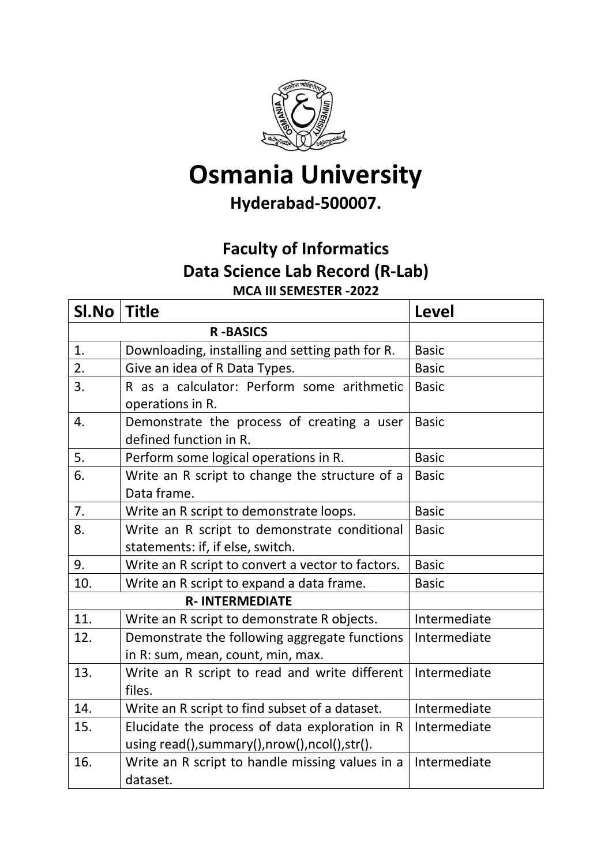

## **Osmania University**

## **Hyderabad-500007.**

## **Faculty of Informatics Data Science Lab Record (R-Lab) MCA III SEMESTER -2022**

| SI.No                 | <b>Title</b>                                                         | <b>Level</b> |  |
|-----------------------|----------------------------------------------------------------------|--------------|--|
| <b>R-BASICS</b>       |                                                                      |              |  |
| 1.                    | Downloading, installing and setting path for R.                      | <b>Basic</b> |  |
| 2.                    | Give an idea of R Data Types.                                        | <b>Basic</b> |  |
| 3.                    | R as a calculator: Perform some arithmetic                           | <b>Basic</b> |  |
|                       | operations in R.                                                     |              |  |
| 4.                    | Demonstrate the process of creating a user<br>defined function in R. | <b>Basic</b> |  |
| 5.                    | Perform some logical operations in R.                                | <b>Basic</b> |  |
| 6.                    | Write an R script to change the structure of a                       | <b>Basic</b> |  |
|                       | Data frame.                                                          |              |  |
| 7.                    | Write an R script to demonstrate loops.                              | <b>Basic</b> |  |
| 8.                    | Write an R script to demonstrate conditional                         | <b>Basic</b> |  |
|                       | statements: if, if else, switch.                                     |              |  |
| 9.                    | Write an R script to convert a vector to factors.                    | <b>Basic</b> |  |
| 10.                   | Write an R script to expand a data frame.                            | <b>Basic</b> |  |
| <b>R-INTERMEDIATE</b> |                                                                      |              |  |
| 11.                   | Write an R script to demonstrate R objects.                          | Intermediate |  |
| 12.                   | Demonstrate the following aggregate functions                        | Intermediate |  |
|                       | in R: sum, mean, count, min, max.                                    |              |  |
| 13.                   | Write an R script to read and write different                        | Intermediate |  |
|                       | files.                                                               |              |  |
| 14.                   | Write an R script to find subset of a dataset.                       | Intermediate |  |
| 15.                   | Elucidate the process of data exploration in R                       | Intermediate |  |
|                       | using read(), summary(), nrow(), ncol(), str().                      |              |  |
| 16.                   | Write an R script to handle missing values in a                      | Intermediate |  |
|                       | dataset.                                                             |              |  |